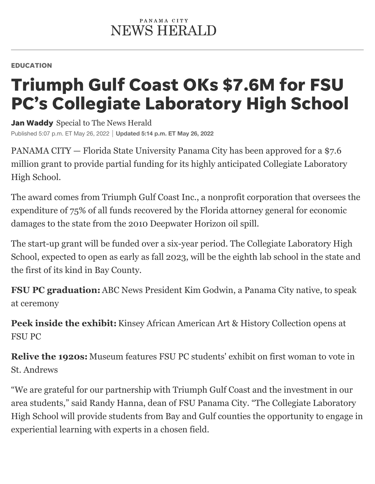## EDUCATION

## Triumph Gulf Coast OKs \$7.6M for FSU PC's Collegiate Laboratory High School

Jan Waddy Special to The News Herald Published 5:07 p.m. ET May 26, 2022 **Updated 5:14 p.m. ET May 26, 2022**

PANAMA CITY — Florida State University Panama City has been approved for a \$7.6 million grant to provide partial funding for its highly anticipated Collegiate Laboratory High School.

The award comes from Triumph Gulf Coast Inc., a nonprofit corporation that oversees the expenditure of 75% of all funds recovered by the Florida attorney general for economic damages to the state from the 2010 Deepwater Horizon oil spill.

The start-up grant will be funded over a six-year period. The Collegiate Laboratory High School, expected to open as early as fall 2023, will be the eighth lab school in the state and the first of its kind in Bay County.

**FSU PC graduation:**ABC News President Kim Godwin, a Panama City native, to speak at ceremony

**Peek inside the exhibit:**Kinsey African American Art & History Collection opens at FSU PC

**Relive the 1920s:** Museum features FSU PC students' exhibit on first woman to vote in St. Andrews

"We are grateful for our partnership with Triumph Gulf Coast and the investment in our area students," said Randy Hanna, dean of FSU Panama City. "The Collegiate Laboratory High School will provide students from Bay and Gulf counties the opportunity to engage in experiential learning with experts in a chosen field.